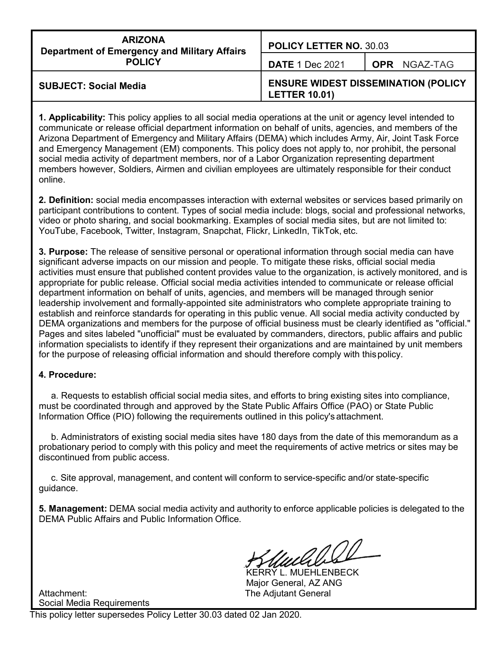| <b>ARIZONA</b><br><b>Department of Emergency and Military Affairs</b><br><b>POLICY</b> | <b>POLICY LETTER NO. 30.03</b>                                     |                     |  |
|----------------------------------------------------------------------------------------|--------------------------------------------------------------------|---------------------|--|
|                                                                                        | <b>DATE 1 Dec 2021</b>                                             | <b>OPR NGAZ-TAG</b> |  |
| <b>SUBJECT: Social Media</b>                                                           | <b>ENSURE WIDEST DISSEMINATION (POLICY</b><br><b>LETTER 10.01)</b> |                     |  |

**1. Applicability:** This policy applies to all social media operations at the unit or agency level intended to communicate or release official department information on behalf of units, agencies, and members of the Arizona Department of Emergency and Military Affairs (DEMA) which includes Army, Air, Joint Task Force and Emergency Management (EM) components. This policy does not apply to, nor prohibit, the personal social media activity of department members, nor of a Labor Organization representing department members however, Soldiers, Airmen and civilian employees are ultimately responsible for their conduct online.

**2. Definition:** social media encompasses interaction with external websites or services based primarily on participant contributions to content. Types of social media include: blogs, social and professional networks, video or photo sharing, and social bookmarking. Examples of social media sites, but are not limited to: YouTube, Facebook, Twitter, Instagram, Snapchat, Flickr, LinkedIn, TikTok, etc.

**3. Purpose:** The release of sensitive personal or operational information through social media can have significant adverse impacts on our mission and people. To mitigate these risks, official social media activities must ensure that published content provides value to the organization, is actively monitored, and is appropriate for public release. Official social media activities intended to communicate or release official department information on behalf of units, agencies, and members will be managed through senior leadership involvement and formally-appointed site administrators who complete appropriate training to establish and reinforce standards for operating in this public venue. All social media activity conducted by DEMA organizations and members for the purpose of official business must be clearly identified as "official." Pages and sites labeled "unofficial" must be evaluated by commanders, directors, public affairs and public information specialists to identify if they represent their organizations and are maintained by unit members for the purpose of releasing official information and should therefore comply with thispolicy.

#### **4. Procedure:**

a. Requests to establish official social media sites, and efforts to bring existing sites into compliance, must be coordinated through and approved by the State Public Affairs Office (PAO) or State Public Information Office (PIO) following the requirements outlined in this policy's attachment.

b. Administrators of existing social media sites have 180 days from the date of this memorandum as a probationary period to comply with this policy and meet the requirements of active metrics or sites may be discontinued from public access.

c. Site approval, management, and content will conform to service-specific and/or state-specific guidance.

**5. Management:** DEMA social media activity and authority to enforce applicable policies is delegated to the DEMA Public Affairs and Public Information Office.

KERRY L. MUEHLENBECK Major General, AZ ANG

Attachment: The Adjutant General Social Media Requirements

This policy letter supersedes Policy Letter 30.03 dated 02 Jan 2020.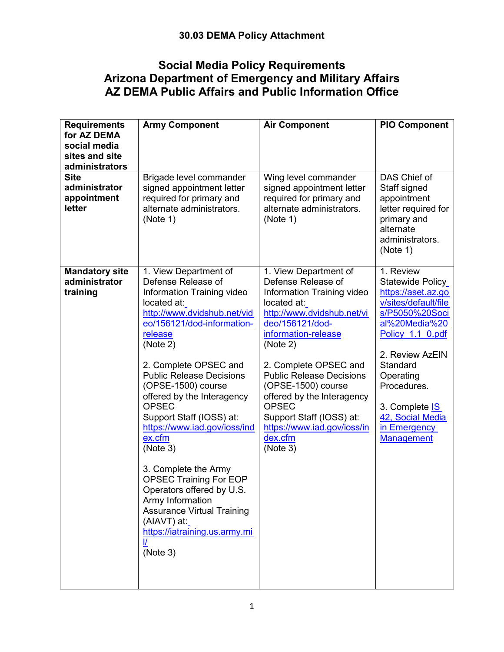## **Social Media Policy Requirements Arizona Department of Emergency and Military Affairs AZ DEMA Public Affairs and Public Information Office**

| <b>Requirements</b><br>for AZ DEMA<br>social media<br>sites and site<br>administrators | <b>Army Component</b>                                                                                                                                                                                                                                                                                                                                                                                                                                                                                                                                                                                     | <b>Air Component</b>                                                                                                                                                                                                                                                                                                                                                                           | <b>PIO Component</b>                                                                                                                                                                                                                                                                   |
|----------------------------------------------------------------------------------------|-----------------------------------------------------------------------------------------------------------------------------------------------------------------------------------------------------------------------------------------------------------------------------------------------------------------------------------------------------------------------------------------------------------------------------------------------------------------------------------------------------------------------------------------------------------------------------------------------------------|------------------------------------------------------------------------------------------------------------------------------------------------------------------------------------------------------------------------------------------------------------------------------------------------------------------------------------------------------------------------------------------------|----------------------------------------------------------------------------------------------------------------------------------------------------------------------------------------------------------------------------------------------------------------------------------------|
| <b>Site</b><br>administrator<br>appointment<br>letter                                  | Brigade level commander<br>signed appointment letter<br>required for primary and<br>alternate administrators.<br>(Note 1)                                                                                                                                                                                                                                                                                                                                                                                                                                                                                 | Wing level commander<br>signed appointment letter<br>required for primary and<br>alternate administrators.<br>(Note 1)                                                                                                                                                                                                                                                                         | DAS Chief of<br>Staff signed<br>appointment<br>letter required for<br>primary and<br>alternate<br>administrators.<br>(Note 1)                                                                                                                                                          |
| <b>Mandatory site</b><br>administrator<br>training                                     | 1. View Department of<br>Defense Release of<br>Information Training video<br>located at:<br>http://www.dvidshub.net/vid<br>eo/156121/dod-information-<br>release<br>(Note 2)<br>2. Complete OPSEC and<br><b>Public Release Decisions</b><br>(OPSE-1500) course<br>offered by the Interagency<br><b>OPSEC</b><br>Support Staff (IOSS) at:<br>https://www.iad.gov/ioss/ind<br>ex.cfm<br>(Note 3)<br>3. Complete the Army<br><b>OPSEC Training For EOP</b><br>Operators offered by U.S.<br>Army Information<br><b>Assurance Virtual Training</b><br>(AIAVT) at:<br>https://iatraining.us.army.mi<br>(Note 3) | 1. View Department of<br>Defense Release of<br>Information Training video<br>located at:<br>http://www.dvidshub.net/vi<br>deo/156121/dod-<br>information-release<br>(Note 2)<br>2. Complete OPSEC and<br><b>Public Release Decisions</b><br>(OPSE-1500) course<br>offered by the Interagency<br><b>OPSEC</b><br>Support Staff (IOSS) at:<br>https://www.iad.gov/ioss/in<br>dex.cfm<br>(Note 3) | 1. Review<br>Statewide Policy<br>https://aset.az.go<br>v/sites/default/file<br>s/P5050%20Soci<br>al%20Media%20<br>Policy 1.1 0.pdf<br>2. Review AzEIN<br>Standard<br>Operating<br>Procedures.<br>3. Complete <b>IS</b><br>42, Social Media<br>in <b>Emergency</b><br><b>Management</b> |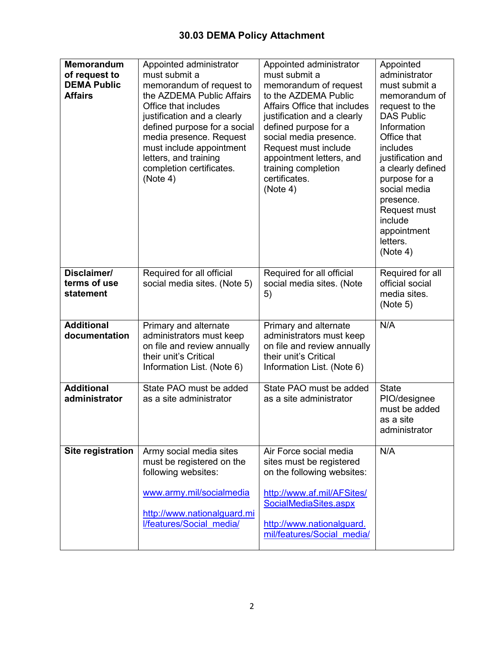| <b>Memorandum</b><br>of request to<br><b>DEMA Public</b><br><b>Affairs</b> | Appointed administrator<br>must submit a<br>memorandum of request to<br>the AZDEMA Public Affairs<br>Office that includes<br>justification and a clearly<br>defined purpose for a social<br>media presence. Request<br>must include appointment<br>letters, and training<br>completion certificates.<br>(Note 4) | Appointed administrator<br>must submit a<br>memorandum of request<br>to the AZDEMA Public<br>Affairs Office that includes<br>justification and a clearly<br>defined purpose for a<br>social media presence.<br>Request must include<br>appointment letters, and<br>training completion<br>certificates.<br>(Note 4) | Appointed<br>administrator<br>must submit a<br>memorandum of<br>request to the<br><b>DAS Public</b><br>Information<br>Office that<br>includes<br>justification and<br>a clearly defined<br>purpose for a<br>social media<br>presence.<br>Request must<br>include<br>appointment<br>letters.<br>(Note 4) |
|----------------------------------------------------------------------------|------------------------------------------------------------------------------------------------------------------------------------------------------------------------------------------------------------------------------------------------------------------------------------------------------------------|---------------------------------------------------------------------------------------------------------------------------------------------------------------------------------------------------------------------------------------------------------------------------------------------------------------------|---------------------------------------------------------------------------------------------------------------------------------------------------------------------------------------------------------------------------------------------------------------------------------------------------------|
| Disclaimer/<br>terms of use<br>statement                                   | Required for all official<br>social media sites. (Note 5)                                                                                                                                                                                                                                                        | Required for all official<br>social media sites. (Note<br>5)                                                                                                                                                                                                                                                        | Required for all<br>official social<br>media sites.<br>(Note 5)                                                                                                                                                                                                                                         |
| <b>Additional</b><br>documentation                                         | Primary and alternate<br>administrators must keep<br>on file and review annually<br>their unit's Critical<br>Information List. (Note 6)                                                                                                                                                                          | Primary and alternate<br>administrators must keep<br>on file and review annually<br>their unit's Critical<br>Information List. (Note 6)                                                                                                                                                                             | N/A                                                                                                                                                                                                                                                                                                     |
| <b>Additional</b><br>administrator                                         | State PAO must be added<br>as a site administrator                                                                                                                                                                                                                                                               | State PAO must be added<br>as a site administrator                                                                                                                                                                                                                                                                  | <b>State</b><br>PIO/designee<br>must be added<br>as a site<br>administrator                                                                                                                                                                                                                             |
| Site registration                                                          | Army social media sites<br>must be registered on the<br>following websites:<br>www.army.mil/socialmedia<br>http://www.nationalguard.mi<br>l/features/Social media/                                                                                                                                               | Air Force social media<br>sites must be registered<br>on the following websites:<br>http://www.af.mil/AFSites/<br>SocialMediaSites.aspx<br>http://www.nationalguard.<br>mil/features/Social media/                                                                                                                  | N/A                                                                                                                                                                                                                                                                                                     |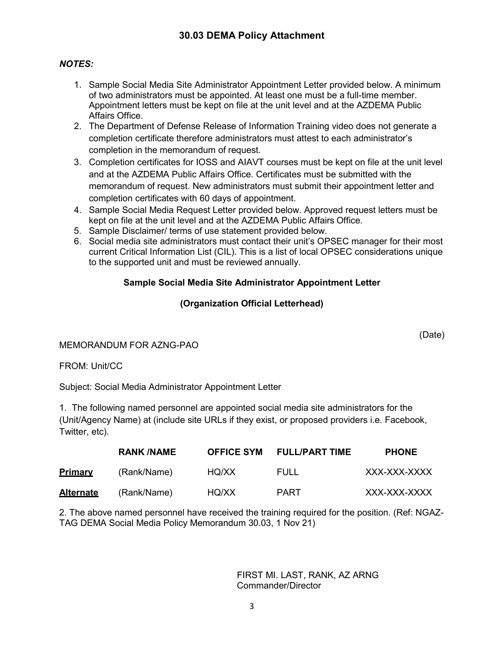### *NOTES:*

- 1. Sample Social Media Site Administrator Appointment Letter provided below. A minimum of two administrators must be appointed. At least one must be a full-time member. Appointment letters must be kept on file at the unit level and at the AZDEMA Public Affairs Office.
- 2. The Department of Defense Release of Information Training video does not generate a completion certificate therefore administrators must attest to each administrator's completion in the memorandum of request.
- 3. Completion certificates for IOSS and AIAVT courses must be kept on file at the unit level and at the AZDEMA Public Affairs Office. Certificates must be submitted with the memorandum of request. New administrators must submit their appointment letter and completion certificates with 60 days of appointment.
- 4. Sample Social Media Request Letter provided below. Approved request letters must be kept on file at the unit level and at the AZDEMA Public Affairs Office.
- 5. Sample Disclaimer/ terms of use statement provided below.
- 6. Social media site administrators must contact their unit's OPSEC manager for their most current Critical Information List (CIL). This is a list of local OPSEC considerations unique to the supported unit and must be reviewed annually.

## **Sample Social Media Site Administrator Appointment Letter**

## **(Organization Official Letterhead)**

#### MEMORANDUM FOR AZNG-PAO

#### FROM: Unit/CC

Subject: Social Media Administrator Appointment Letter

1. The following named personnel are appointed social media site administrators for the (Unit/Agency Name) at (include site URLs if they exist, or proposed providers i.e. Facebook, Twitter, etc).

|                  | <b>RANK/NAME</b> | <b>OFFICE SYM</b> | <b>FULL/PART TIME</b> | <b>PHONE</b> |
|------------------|------------------|-------------------|-----------------------|--------------|
| <b>Primary</b>   | (Rank/Name)      | HQ/XX             | FULL                  | XXX-XXX-XXXX |
| <b>Alternate</b> | (Rank/Name)      | HQ/XX             | PART                  | XXX-XXX-XXXX |

2. The above named personnel have received the training required for the position. (Ref: NGAZ-TAG DEMA Social Media Policy Memorandum 30.03, 1 Nov 21)

> FIRST MI. LAST, RANK, AZ ARNG Commander/Director

(Date)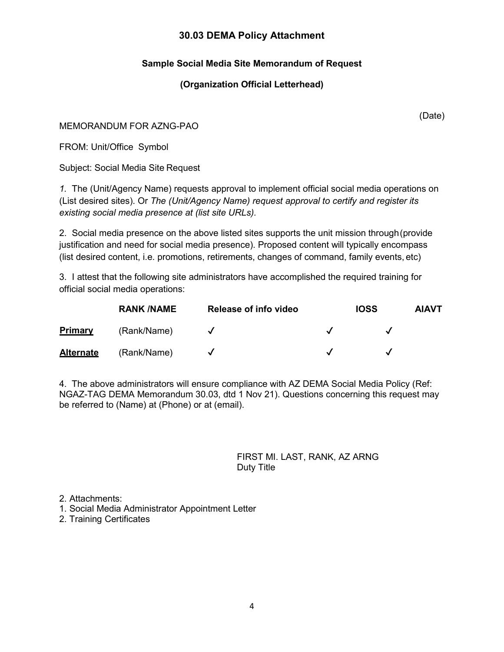## **Sample Social Media Site Memorandum of Request**

### **(Organization Official Letterhead)**

MEMORANDUM FOR AZNG-PAO

FROM: Unit/Office Symbol

Subject: Social Media Site Request

*1.* The (Unit/Agency Name) requests approval to implement official social media operations on (List desired sites). Or *The (Unit/Agency Name) request approval to certify and register its existing social media presence at (list site URLs).*

2. Social media presence on the above listed sites supports the unit mission through(provide justification and need for social media presence). Proposed content will typically encompass (list desired content, i.e. promotions, retirements, changes of command, family events, etc)

3. I attest that the following site administrators have accomplished the required training for official social media operations:

|                  | <b>RANK /NAME</b> | Release of info video |                            | <b>IOSS</b> | <b>AIAVT</b> |
|------------------|-------------------|-----------------------|----------------------------|-------------|--------------|
| <b>Primary</b>   | (Rank/Name)       |                       |                            |             |              |
| <b>Alternate</b> | (Rank/Name)       |                       | $\boldsymbol{\mathcal{J}}$ |             |              |

4. The above administrators will ensure compliance with AZ DEMA Social Media Policy (Ref: NGAZ-TAG DEMA Memorandum 30.03, dtd 1 Nov 21). Questions concerning this request may be referred to (Name) at (Phone) or at (email).

> FIRST MI. LAST, RANK, AZ ARNG Duty Title

2. Attachments:

1. Social Media Administrator Appointment Letter

2. Training Certificates

(Date)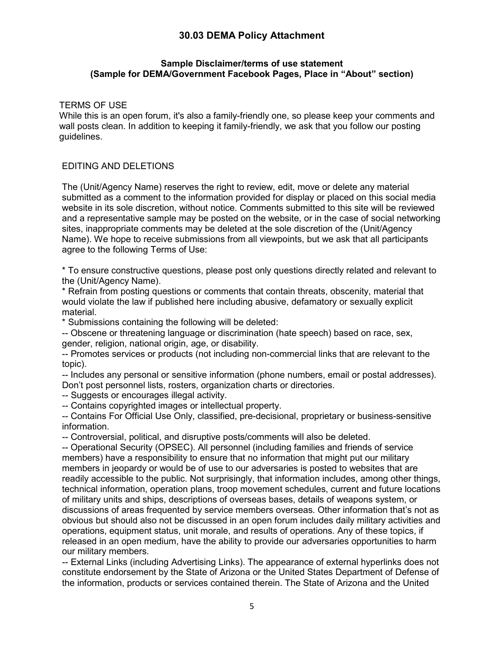#### **Sample Disclaimer/terms of use statement (Sample for DEMA/Government Facebook Pages, Place in "About" section)**

TERMS OF USE

While this is an open forum, it's also a family-friendly one, so please keep your comments and wall posts clean. In addition to keeping it family-friendly, we ask that you follow our posting guidelines.

#### EDITING AND DELETIONS

The (Unit/Agency Name) reserves the right to review, edit, move or delete any material submitted as a comment to the information provided for display or placed on this social media website in its sole discretion, without notice. Comments submitted to this site will be reviewed and a representative sample may be posted on the website, or in the case of social networking sites, inappropriate comments may be deleted at the sole discretion of the (Unit/Agency Name). We hope to receive submissions from all viewpoints, but we ask that all participants agree to the following Terms of Use:

\* To ensure constructive questions, please post only questions directly related and relevant to the (Unit/Agency Name).

\* Refrain from posting questions or comments that contain threats, obscenity, material that would violate the law if published here including abusive, defamatory or sexually explicit material.

\* Submissions containing the following will be deleted:

-- Obscene or threatening language or discrimination (hate speech) based on race, sex, gender, religion, national origin, age, or disability.

-- Promotes services or products (not including non-commercial links that are relevant to the topic).

-- Includes any personal or sensitive information (phone numbers, email or postal addresses). Don't post personnel lists, rosters, organization charts or directories.

-- Suggests or encourages illegal activity.

-- Contains copyrighted images or intellectual property.

-- Contains For Official Use Only, classified, pre-decisional, proprietary or business-sensitive information.

-- Controversial, political, and disruptive posts/comments will also be deleted.

-- Operational Security (OPSEC). All personnel (including families and friends of service members) have a responsibility to ensure that no information that might put our military members in jeopardy or would be of use to our adversaries is posted to websites that are readily accessible to the public. Not surprisingly, that information includes, among other things, technical information, operation plans, troop movement schedules, current and future locations of military units and ships, descriptions of overseas bases, details of weapons system, or discussions of areas frequented by service members overseas. Other information that's not as obvious but should also not be discussed in an open forum includes daily military activities and operations, equipment status, unit morale, and results of operations. Any of these topics, if released in an open medium, have the ability to provide our adversaries opportunities to harm our military members.

-- External Links (including Advertising Links). The appearance of external hyperlinks does not constitute endorsement by the State of Arizona or the United States Department of Defense of the information, products or services contained therein. The State of Arizona and the United